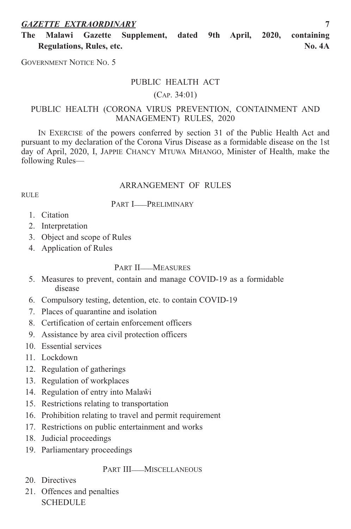# *GAZETTE EXTRAORDINARY* **7**

**The Malawi Gazette Supplement, dated 9th April, 2020, containing Regulations, Rules, etc. No. 4A**

GOVERNMENT NOTICE NO. 5

# PUBLIC HEALTH ACT

#### (cAP. 34:01)

# PUBLic HeALtH (coronA virUS Prevention, contAinment AnD mAnAGement) rULeS, 2020

IN EXERCISE of the powers conferred by section 31 of the Public Health Act and pursuant to my declaration of the corona virus Disease as a formidable disease on the 1st day of April, 2020, i, JAPPie cHAncY mtUWA mHAnGo, minister of Health, make the following Rules—

#### ArrAnGement oF rULeS

# RULE.

# PART **I\_\_PRELIMINARY**

- 1. citation
- 2. interpretation
- 3. Object and scope of Rules
- 4. Application of Rules

# PART II\_\_MEASURES

- 5. measures to prevent, contain and manage coviD-19 as a formidable disease
- 6. compulsory testing, detention, etc. to contain coviD-19
- 7. Places of quarantine and isolation
- 8. certification of certain enforcement officers
- 9. Assistance by area civil protection officers
- 10. Essential services
- 11. Lockdown
- 12. Regulation of gatherings
- 13. Regulation of workplaces
- 14. Regulation of entry into Malaŵi
- 15. Restrictions relating to transportation
- 16. Prohibition relating to travel and permit requirement
- 17. Restrictions on public entertainment and works
- 18. Judicial proceedings
- 19. Parliamentary proceedings

# PART III\_\_MISCELLANEOUS

- 20. Directives
- 21. offences and penalties ScHeDULe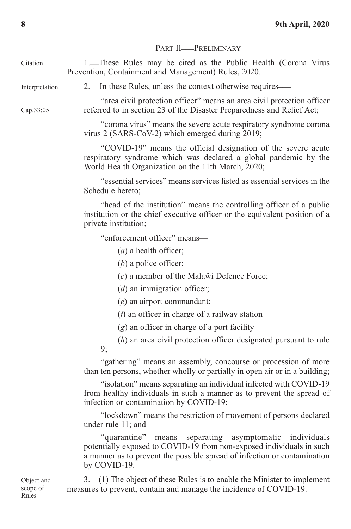|                | PART II-PRELIMINARY                                                                                                                                                                                                              |
|----------------|----------------------------------------------------------------------------------------------------------------------------------------------------------------------------------------------------------------------------------|
| Citation       | 1. These Rules may be cited as the Public Health (Corona Virus<br>Prevention, Containment and Management) Rules, 2020.                                                                                                           |
| Interpretation | 2.<br>In these Rules, unless the context otherwise requires—                                                                                                                                                                     |
| Cap.33:05      | "area civil protection officer" means an area civil protection officer<br>referred to in section 23 of the Disaster Preparedness and Relief Act;                                                                                 |
|                | "corona virus" means the severe acute respiratory syndrome corona<br>virus 2 (SARS-CoV-2) which emerged during 2019;                                                                                                             |
|                | "COVID-19" means the official designation of the severe acute<br>respiratory syndrome which was declared a global pandemic by the<br>World Health Organization on the 11th March, 2020;                                          |
|                | "essential services" means services listed as essential services in the<br>Schedule hereto:                                                                                                                                      |
|                | "head of the institution" means the controlling officer of a public<br>institution or the chief executive officer or the equivalent position of a<br>private institution;                                                        |
|                | "enforcement officer" means—                                                                                                                                                                                                     |
|                | $(a)$ a health officer;                                                                                                                                                                                                          |
|                | $(b)$ a police officer;                                                                                                                                                                                                          |
|                | (c) a member of the Malawi Defence Force;                                                                                                                                                                                        |
|                | $(d)$ an immigration officer;                                                                                                                                                                                                    |
|                | $(e)$ an airport commandant;                                                                                                                                                                                                     |
|                | $(f)$ an officer in charge of a railway station                                                                                                                                                                                  |
|                | $(g)$ an officer in charge of a port facility                                                                                                                                                                                    |
|                | $(h)$ an area civil protection officer designated pursuant to rule<br>9;                                                                                                                                                         |
|                | "gathering" means an assembly, concourse or procession of more<br>than ten persons, whether wholly or partially in open air or in a building;                                                                                    |
|                | "isolation" means separating an individual infected with COVID-19<br>from healthy individuals in such a manner as to prevent the spread of<br>infection or contamination by COVID-19;                                            |
|                | "lockdown" means the restriction of movement of persons declared<br>under rule 11; and                                                                                                                                           |
|                | separating asymptomatic individuals<br>"quarantine"<br>means<br>potentially exposed to COVID-19 from non-exposed individuals in such<br>a manner as to prevent the possible spread of infection or contamination<br>by COVID-19. |

 $3$ .—(1) The object of these Rules is to enable the Minister to implement measures to prevent, contain and manage the incidence of coviD-19.

object and scope of Rules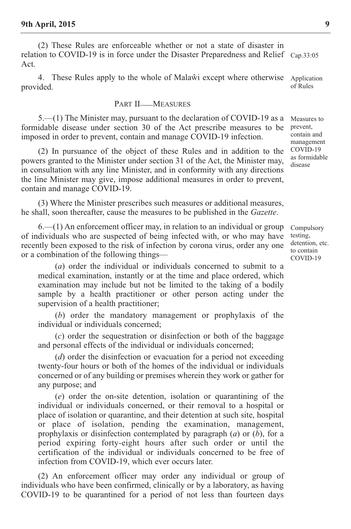(2) These Rules are enforceable whether or not a state of disaster in relation to COVID-19 is in force under the Disaster Preparedness and Relief Cap.33:05 Act.

4. These Rules apply to the whole of Malaŵi except where otherwise provided. Application of Rules

#### PART II\_\_MEASURES

 $5-(1)$  The Minister may, pursuant to the declaration of COVID-19 as a formidable disease under section 30 of the Act prescribe measures to be imposed in order to prevent, contain and manage coviD-19 infection.

(2) In pursuance of the object of these Rules and in addition to the powers granted to the Minister under section 31 of the Act, the Minister may, in consultation with any line Minister, and in conformity with any directions the line Minister may give, impose additional measures in order to prevent, contain and manage coviD-19.

(3) Where the Minister prescribes such measures or additional measures, he shall, soon thereafter, cause the measures to be published in the *Gazette*.

6.—(1) An enforcement officer may, in relation to an individual or group of individuals who are suspected of being infected with, or who may have recently been exposed to the risk of infection by corona virus, order any one or a combination of the following things—

(*a*) order the individual or individuals concerned to submit to a medical examination, instantly or at the time and place ordered, which examination may include but not be limited to the taking of a bodily sample by a health practitioner or other person acting under the supervision of a health practitioner;

(*b*) order the mandatory management or prophylaxis of the individual or individuals concerned;

(*c*) order the sequestration or disinfection or both of the baggage and personal effects of the individual or individuals concerned;

(*d*) order the disinfection or evacuation for a period not exceeding twenty-four hours or both of the homes of the individual or individuals concerned or of any building or premises wherein they work or gather for any purpose; and

(*e*) order the on-site detention, isolation or quarantining of the individual or individuals concerned, or their removal to a hospital or place of isolation or quarantine, and their detention at such site, hospital or place of isolation, pending the examination, management, prophylaxis or disinfection contemplated by paragraph (*a*) or (*b*), for a period expiring forty-eight hours after such order or until the certification of the individual or individuals concerned to be free of infection from COVID-19, which ever occurs later.

(2) An enforcement officer may order any individual or group of individuals who have been confirmed, clinically or by a laboratory, as having coviD-19 to be quarantined for a period of not less than fourteen days

Measures to prevent, contain and management coviD-19 as formidable disease

compulsory testing, detention, etc. to contain coviD-19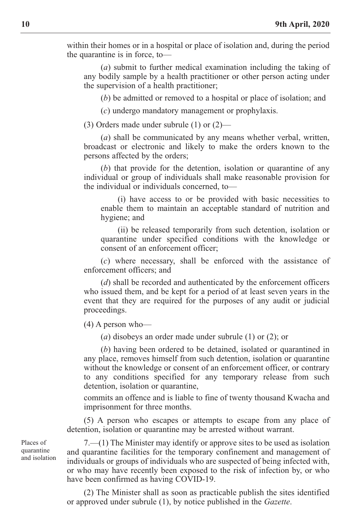within their homes or in a hospital or place of isolation and, during the period the quarantine is in force, to—

(*a*) submit to further medical examination including the taking of any bodily sample by a health practitioner or other person acting under the supervision of a health practitioner;

(*b*) be admitted or removed to a hospital or place of isolation; and

(*c*) undergo mandatory management or prophylaxis.

(3) Orders made under subrule  $(1)$  or  $(2)$ —

(*a*) shall be communicated by any means whether verbal, written, broadcast or electronic and likely to make the orders known to the persons affected by the orders;

(*b*) that provide for the detention, isolation or quarantine of any individual or group of individuals shall make reasonable provision for the individual or individuals concerned, to—

(i) have access to or be provided with basic necessities to enable them to maintain an acceptable standard of nutrition and hygiene; and

(ii) be released temporarily from such detention, isolation or quarantine under specified conditions with the knowledge or consent of an enforcement officer;

(*c*) where necessary, shall be enforced with the assistance of enforcement officers; and

(*d*) shall be recorded and authenticated by the enforcement officers who issued them, and be kept for a period of at least seven years in the event that they are required for the purposes of any audit or judicial proceedings.

(4) A person who—

(*a*) disobeys an order made under subrule (1) or (2); or

(*b*) having been ordered to be detained, isolated or quarantined in any place, removes himself from such detention, isolation or quarantine without the knowledge or consent of an enforcement officer, or contrary to any conditions specified for any temporary release from such detention, isolation or quarantine,

commits an offence and is liable to fine of twenty thousand Kwacha and imprisonment for three months.

(5) A person who escapes or attempts to escape from any place of detention, isolation or quarantine may be arrested without warrant.

Places of quarantine and isolation

 $7-(1)$  The Minister may identify or approve sites to be used as isolation and quarantine facilities for the temporary confinement and management of individuals or groups of individuals who are suspected of being infected with, or who may have recently been exposed to the risk of infection by, or who have been confirmed as having COVID-19.

(2) the minister shall as soon as practicable publish the sites identified or approved under subrule (1), by notice published in the *Gazette*.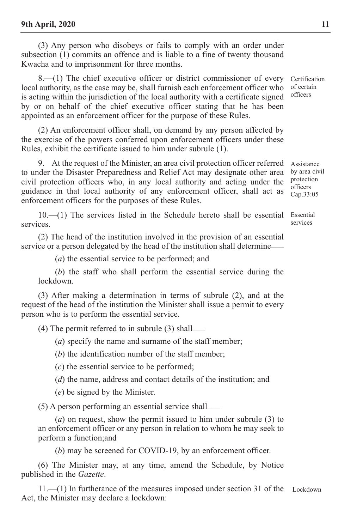(3) Any person who disobeys or fails to comply with an order under subsection (1) commits an offence and is liable to a fine of twenty thousand Kwacha and to imprisonment for three months.

 $8-(1)$  The chief executive officer or district commissioner of every local authority, as the case may be, shall furnish each enforcement officer who is acting within the jurisdiction of the local authority with a certificate signed by or on behalf of the chief executive officer stating that he has been appointed as an enforcement officer for the purpose of these Rules.

(2) An enforcement officer shall, on demand by any person affected by the exercise of the powers conferred upon enforcement officers under these Rules, exhibit the certificate issued to him under subrule (1).

9. At the request of the Minister, an area civil protection officer referred to under the Disaster Preparedness and Relief Act may designate other area civil protection officers who, in any local authority and acting under the guidance in that local authority of any enforcement officer, shall act as enforcement officers for the purposes of these Rules.

 $10.$ — $(1)$  The services listed in the Schedule hereto shall be essential services.

(2) the head of the institution involved in the provision of an essential service or a person delegated by the head of the institution shall determine

(*a*) the essential service to be performed; and

(*b*) the staff who shall perform the essential service during the lockdown.

(3) After making a determination in terms of subrule (2), and at the request of the head of the institution the Minister shall issue a permit to every person who is to perform the essential service.

 $(4)$  The permit referred to in subrule  $(3)$  shall

(*a*) specify the name and surname of the staff member;

(*b*) the identification number of the staff member;

(*c*) the essential service to be performed;

(*d*) the name, address and contact details of the institution; and

(*e*) be signed by the minister.

(5) A person performing an essential service shall \_\_\_

(*a*) on request, show the permit issued to him under subrule (3) to an enforcement officer or any person in relation to whom he may seek to perform a function;and

(*b*) may be screened for COVID-19, by an enforcement officer.

(6) The Minister may, at any time, amend the Schedule, by Notice published in the *Gazette*.

11.—(1) in furtherance of the measures imposed under section 31 of the LockdownAct, the Minister may declare a lockdown:

certification of certain officers

Assistance by area civil protection officers cap.33:05

Essential services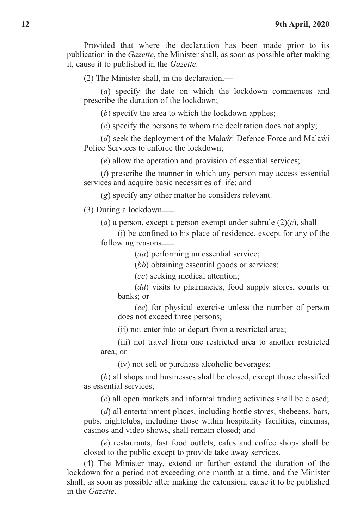Provided that where the declaration has been made prior to its publication in the *Gazette*, the minister shall, as soon as possible after making it, cause it to published in the *Gazette*.

 $(2)$  The Minister shall, in the declaration,—

(*a*) specify the date on which the lockdown commences and prescribe the duration of the lockdown;

(*b*) specify the area to which the lockdown applies;

(*c*) specify the persons to whom the declaration does not apply;

(*d*) seek the deployment of the Malawi Defence Force and Malawi Police Services to enforce the lockdown;

(*e*) allow the operation and provision of essential services;

(*f*) prescribe the manner in which any person may access essential services and acquire basic necessities of life; and

(*g*) specify any other matter he considers relevant.

(3) During a lockdown\_\_\_

 $(a)$  a person, except a person exempt under subrule  $(2)(c)$ , shall-

(i) be confined to his place of residence, except for any of the following reasons\_\_\_

(*aa*) performing an essential service;

(*bb*) obtaining essential goods or services;

(*cc*) seeking medical attention;

(*dd*) visits to pharmacies, food supply stores, courts or banks; or

(*ee*) for physical exercise unless the number of person does not exceed three persons;

(ii) not enter into or depart from a restricted area;

(iii) not travel from one restricted area to another restricted area; or

(iv) not sell or purchase alcoholic beverages;

(*b*) all shops and businesses shall be closed, except those classified as essential services;

(*c*) all open markets and informal trading activities shall be closed;

(*d*) all entertainment places, including bottle stores, shebeens, bars, pubs, nightclubs, including those within hospitality facilities, cinemas, casinos and video shows, shall remain closed; and

(*e*) restaurants, fast food outlets, cafes and coffee shops shall be closed to the public except to provide take away services.

(4) the minister may, extend or further extend the duration of the lockdown for a period not exceeding one month at a time, and the Minister shall, as soon as possible after making the extension, cause it to be published in the *Gazette*.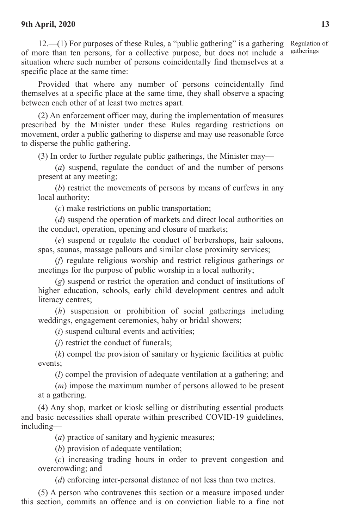$12.$ —(1) For purposes of these Rules, a "public gathering" is a gathering of more than ten persons, for a collective purpose, but does not include a situation where such number of persons coincidentally find themselves at a specific place at the same time: Regulation of gatherings

Provided that where any number of persons coincidentally find themselves at a specific place at the same time, they shall observe a spacing between each other of at least two metres apart.

(2) An enforcement officer may, during the implementation of measures prescribed by the Minister under these Rules regarding restrictions on movement, order a public gathering to disperse and may use reasonable force to disperse the public gathering.

 $(3)$  In order to further regulate public gatherings, the Minister may—

(*a*) suspend, regulate the conduct of and the number of persons present at any meeting;

(*b*) restrict the movements of persons by means of curfews in any local authority;

(*c*) make restrictions on public transportation;

(*d*) suspend the operation of markets and direct local authorities on the conduct, operation, opening and closure of markets;

(*e*) suspend or regulate the conduct of berbershops, hair saloons, spas, saunas, massage pallours and similar close proximity services;

(*f*) regulate religious worship and restrict religious gatherings or meetings for the purpose of public worship in a local authority;

(*g*) suspend or restrict the operation and conduct of institutions of higher education, schools, early child development centres and adult literacy centres;

(*h*) suspension or prohibition of social gatherings including weddings, engagement ceremonies, baby or bridal showers;

(*i*) suspend cultural events and activities;

(*j*) restrict the conduct of funerals;

(*k*) compel the provision of sanitary or hygienic facilities at public events;

(*l*) compel the provision of adequate ventilation at a gathering; and

(*m*) impose the maximum number of persons allowed to be present at a gathering.

(4) Any shop, market or kiosk selling or distributing essential products and basic necessities shall operate within prescribed COVID-19 guidelines, including—

(*a*) practice of sanitary and hygienic measures;

(*b*) provision of adequate ventilation;

(*c*) increasing trading hours in order to prevent congestion and overcrowding; and

(*d*) enforcing inter-personal distance of not less than two metres.

(5) A person who contravenes this section or a measure imposed under this section, commits an offence and is on conviction liable to a fine not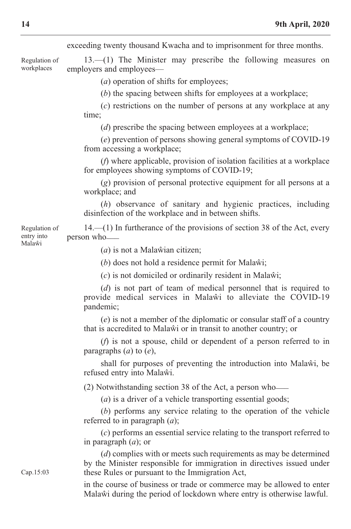exceeding twenty thousand Kwacha and to imprisonment for three months.

 $13$ — $(1)$  The Minister may prescribe the following measures on employers and employees— Regulation of workplaces

(*a*) operation of shifts for employees;

(*b*) the spacing between shifts for employees at a workplace;

(*c*) restrictions on the number of persons at any workplace at any time;

(*d*) prescribe the spacing between employees at a workplace;

(*e*) prevention of persons showing general symptoms of coviD-19 from accessing a workplace;

(*f*) where applicable, provision of isolation facilities at a workplace for employees showing symptoms of COVID-19;

(*g*) provision of personal protective equipment for all persons at a workplace; and

(*h*) observance of sanitary and hygienic practices, including disinfection of the workplace and in between shifts.

14.—(1) in furtherance of the provisions of section 38 of the Act, every person who\_\_\_ Regulation of

(*a*) is not a Malawian citizen;

(*b*) does not hold a residence permit for Malawi;

(*c*) is not domiciled or ordinarily resident in malaŵi;

(*d*) is not part of team of medical personnel that is required to provide medical services in Malawi to alleviate the COVID-19 pandemic;

(*e*) is not a member of the diplomatic or consular staff of a country that is accredited to Malaŵi or in transit to another country; or

(*f*) is not a spouse, child or dependent of a person referred to in paragraphs (*a*) to (*e*),

shall for purposes of preventing the introduction into Malawi, be refused entry into Malaŵi.

(2) notwithstanding section 38 of the Act, a person who\_\_\_

(*a*) is a driver of a vehicle transporting essential goods;

(*b*) performs any service relating to the operation of the vehicle referred to in paragraph (*a*);

(*c*) performs an essential service relating to the transport referred to in paragraph (*a*); or

(*d*) complies with or meets such requirements as may be determined by the Minister responsible for immigration in directives issued under these Rules or pursuant to the Immigration Act,

in the course of business or trade or commerce may be allowed to enter malaŵi during the period of lockdown where entry is otherwise lawful.

entry into malaŵi

cap.15:03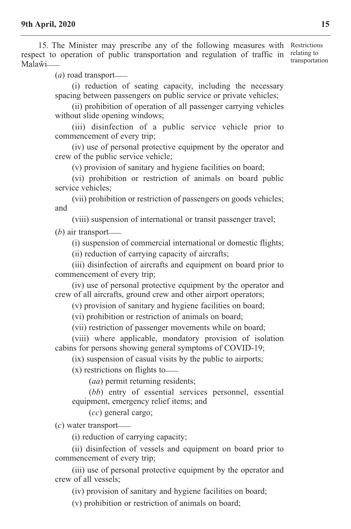15. The Minister may prescribe any of the following measures with Restrictions respect to operation of public transportation and regulation of traffic in  $\frac{\text{relating to}}{\text{transient}}$ Malaŵi<sub>——</sub> transportation

(*a*) road transport \_\_\_

(i) reduction of seating capacity, including the necessary spacing between passengers on public service or private vehicles;

(ii) prohibition of operation of all passenger carrying vehicles without slide opening windows;

(iii) disinfection of a public service vehicle prior to commencement of every trip;

(iv) use of personal protective equipment by the operator and crew of the public service vehicle;

(v) provision of sanitary and hygiene facilities on board;

(vi) prohibition or restriction of animals on board public service vehicles;

(vii) prohibition or restriction of passengers on goods vehicles; and

(viii) suspension of international or transit passenger travel;

(*b*) air transport \_\_\_

(i) suspension of commercial international or domestic flights;

(ii) reduction of carrying capacity of aircrafts;

(iii) disinfection of aircrafts and equipment on board prior to commencement of every trip;

(iv) use of personal protective equipment by the operator and crew of all aircrafts, ground crew and other airport operators;

(v) provision of sanitary and hygiene facilities on board;

(vi) prohibition or restriction of animals on board;

(vii) restriction of passenger movements while on board;

(viii) where applicable, mondatory provision of isolation cabins for persons showing general symptoms of coviD-19;

(ix) suspension of casual visits by the public to airports;

 $(x)$  restrictions on flights to  $\equiv$ 

(*aa*) permit returning residents;

(*bb*) entry of essential services personnel, essential equipment, emergency relief items; and

(*cc*) general cargo;

 $(c)$  water transport— $\Box$ 

(i) reduction of carrying capacity;

(ii) disinfection of vessels and equipment on board prior to commencement of every trip;

(iii) use of personal protective equipment by the operator and crew of all vessels;

(iv) provision of sanitary and hygiene facilities on board;

(v) prohibition or restriction of animals on board;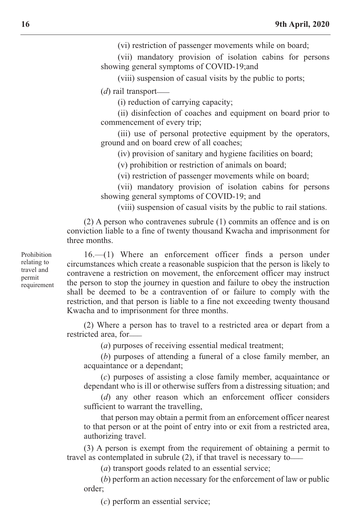(vi) restriction of passenger movements while on board;

(vii) mandatory provision of isolation cabins for persons showing general symptoms of COVID-19;and

(viii) suspension of casual visits by the public to ports;

(*d*) rail transport \_\_\_

(i) reduction of carrying capacity;

(ii) disinfection of coaches and equipment on board prior to commencement of every trip;

(iii) use of personal protective equipment by the operators, ground and on board crew of all coaches;

(iv) provision of sanitary and hygiene facilities on board;

(v) prohibition or restriction of animals on board;

(vi) restriction of passenger movements while on board;

(vii) mandatory provision of isolation cabins for persons showing general symptoms of COVID-19; and

(viii) suspension of casual visits by the public to rail stations.

(2) A person who contravenes subrule (1) commits an offence and is on conviction liable to a fine of twenty thousand Kwacha and imprisonment for three months.

16.—(1) Where an enforcement officer finds a person under circumstances which create a reasonable suspicion that the person is likely to contravene a restriction on movement, the enforcement officer may instruct the person to stop the journey in question and failure to obey the instruction shall be deemed to be a contravention of or failure to comply with the restriction, and that person is liable to a fine not exceeding twenty thousand Kwacha and to imprisonment for three months.

(2) Where a person has to travel to a restricted area or depart from a restricted area, for\_\_\_

(*a*) purposes of receiving essential medical treatment;

(*b*) purposes of attending a funeral of a close family member, an acquaintance or a dependant;

(*c*) purposes of assisting a close family member, acquaintance or dependant who is ill or otherwise suffers from a distressing situation; and

(*d*) any other reason which an enforcement officer considers sufficient to warrant the travelling,

that person may obtain a permit from an enforcement officer nearest to that person or at the point of entry into or exit from a restricted area, authorizing travel.

(3) A person is exempt from the requirement of obtaining a permit to travel as contemplated in subrule (2), if that travel is necessary to\_\_\_

(*a*) transport goods related to an essential service;

(*b*) perform an action necessary for the enforcement of law or public order;

(*c*) perform an essential service;

Prohibition relating to travel and permit requirement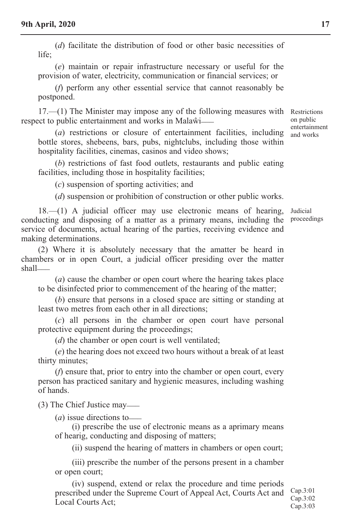(*d*) facilitate the distribution of food or other basic necessities of  $l$ ife;

(*e*) maintain or repair infrastructure necessary or useful for the provision of water, electricity, communication or financial services; or

(*f*) perform any other essential service that cannot reasonably be postponed.

 $17.$ — $(1)$  The Minister may impose any of the following measures with Restrictions respect to public entertainment and works in Malawi-

(*a*) restrictions or closure of entertainment facilities, including bottle stores, shebeens, bars, pubs, nightclubs, including those within hospitality facilities, cinemas, casinos and video shows;

(*b*) restrictions of fast food outlets, restaurants and public eating facilities, including those in hospitality facilities;

(*c*) suspension of sporting activities; and

(*d*) suspension or prohibition of construction or other public works.

18.—(1) A judicial officer may use electronic means of hearing, conducting and disposing of a matter as a primary means, including the service of documents, actual hearing of the parties, receiving evidence and making determinations.

(2) Where it is absolutely necessary that the amatter be heard in chambers or in open court, a judicial officer presiding over the matter shall<sub>——</sub>

(*a*) cause the chamber or open court where the hearing takes place to be disinfected prior to commencement of the hearing of the matter;

(*b*) ensure that persons in a closed space are sitting or standing at least two metres from each other in all directions;

(*c*) all persons in the chamber or open court have personal protective equipment during the proceedings;

(*d*) the chamber or open court is well ventilated;

(*e*) the hearing does not exceed two hours without a break of at least thirty minutes;

(*f*) ensure that, prior to entry into the chamber or open court, every person has practiced sanitary and hygienic measures, including washing of hands.

(3) The Chief Justice may—

 $(a)$  issue directions to —

(i) prescribe the use of electronic means as a aprimary means of hearig, conducting and disposing of matters;

(ii) suspend the hearing of matters in chambers or open court;

(iii) prescribe the number of the persons present in a chamber or open court;

(iv) suspend, extend or relax the procedure and time periods prescribed under the Supreme court of Appeal Act, courts Act and Local Courts Act:

cap.3:01 cap.3:02 cap.3:03

on public entertainment and works

Judicial proceedings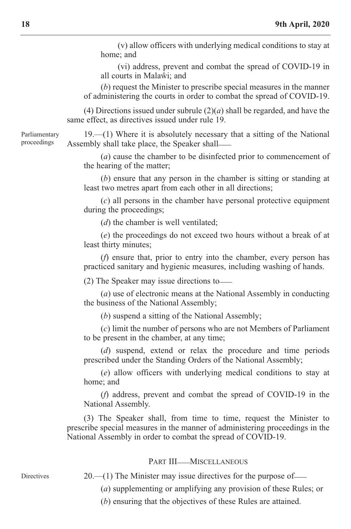(v) allow officers with underlying medical conditions to stay at home; and

(vi) address, prevent and combat the spread of coviD-19 in all courts in malaŵi; and

(*b*) request the Minister to prescribe special measures in the manner of administering the courts in order to combat the spread of coviD-19.

(4) Directions issued under subrule (2)(*a*) shall be regarded, and have the same effect, as directives issued under rule 19.

Parliamentary proceedings

**Directives** 

 $19$ —(1) Where it is absolutely necessary that a sitting of the National Assembly shall take place, the Speaker shall-

(*a*) cause the chamber to be disinfected prior to commencement of the hearing of the matter;

(*b*) ensure that any person in the chamber is sitting or standing at least two metres apart from each other in all directions;

(*c*) all persons in the chamber have personal protective equipment during the proceedings;

(*d*) the chamber is well ventilated;

(*e*) the proceedings do not exceed two hours without a break of at least thirty minutes;

(*f*) ensure that, prior to entry into the chamber, every person has practiced sanitary and hygienic measures, including washing of hands.

 $(2)$  The Speaker may issue directions to

(*a*) use of electronic means at the National Assembly in conducting the business of the National Assembly;

 $(b)$  suspend a sitting of the National Assembly;

(*c*) limit the number of persons who are not members of Parliament to be present in the chamber, at any time;

(*d*) suspend, extend or relax the procedure and time periods prescribed under the Standing Orders of the National Assembly;

(*e*) allow officers with underlying medical conditions to stay at home; and

(*f*) address, prevent and combat the spread of coviD-19 in the National Assembly.

(3) the Speaker shall, from time to time, request the minister to prescribe special measures in the manner of administering proceedings in the National Assembly in order to combat the spread of COVID-19.

#### PART III\_\_\_MISCELLANEOUS

 $20$ —(1) The Minister may issue directives for the purpose of—

(*a*) supplementing or amplifying any provision of these Rules; or

(*b*) ensuring that the objectives of these Rules are attained.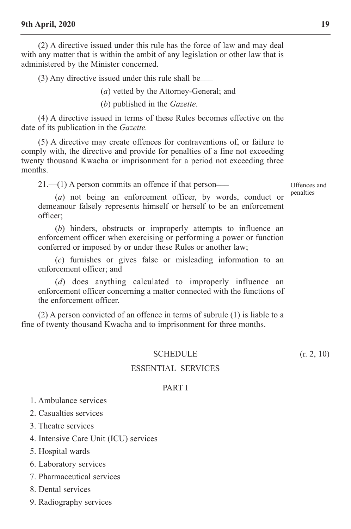(2) A directive issued under this rule has the force of law and may deal with any matter that is within the ambit of any legislation or other law that is administered by the Minister concerned.

(3) Any directive issued under this rule shall be\_\_\_

(*a*) vetted by the Attorney-General; and

(*b*) published in the *Gazette*.

(4) A directive issued in terms of these Rules becomes effective on the date of its publication in the *Gazette.*

(5) A directive may create offences for contraventions of, or failure to comply with, the directive and provide for penalties of a fine not exceeding twenty thousand Kwacha or imprisonment for a period not exceeding three months.

 $21.$ — $(1)$  A person commits an offence if that person—

offences and penalties

(*a*) not being an enforcement officer, by words, conduct or demeanour falsely represents himself or herself to be an enforcement officer;

(*b*) hinders, obstructs or improperly attempts to influence an enforcement officer when exercising or performing a power or function conferred or imposed by or under these Rules or another law;

(*c*) furnishes or gives false or misleading information to an enforcement officer; and

(*d*) does anything calculated to improperly influence an enforcement officer concerning a matter connected with the functions of the enforcement officer.

(2) A person convicted of an offence in terms of subrule (1) is liable to a fine of twenty thousand Kwacha and to imprisonment for three months.

#### SCHEDULE  $(r, 2, 10)$

#### eSSentiAL ServiceS

#### PART I

1. Ambulance services

2. casualties services

3. Theatre services

4. intensive care Unit (icU) services

5. Hospital wards

6. Laboratory services

7. Pharmaceutical services

8. Dental services

9. Radiography services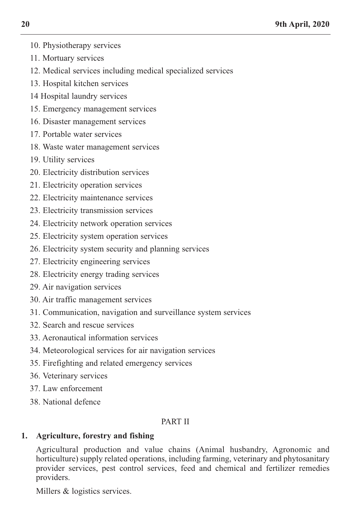- 10. Physiotherapy services
- 11. mortuary services
- 12. medical services including medical specialized services
- 13. Hospital kitchen services
- 14 Hospital laundry services
- 15. Emergency management services
- 16. Disaster management services
- 17. Portable water services
- 18. Waste water management services
- 19. Utility services
- 20. Electricity distribution services
- 21. Electricity operation services
- 22. Electricity maintenance services
- 23. Electricity transmission services
- 24. Electricity network operation services
- 25. Electricity system operation services
- 26. electricity system security and planning services
- 27. Electricity engineering services
- 28. Electricity energy trading services
- 29. Air navigation services
- 30. Air traffic management services
- 31. communication, navigation and surveillance system services
- 32. Search and rescue services
- 33. Aeronautical information services
- 34. meteorological services for air navigation services
- 35. Firefighting and related emergency services
- 36. veterinary services
- 37. Law enforcement
- 38. National defence

# PART II

# **1. Agriculture, forestry and fishing**

Agricultural production and value chains (Animal husbandry, Agronomic and horticulture) supply related operations, including farming, veterinary and phytosanitary provider services, pest control services, feed and chemical and fertilizer remedies providers.

Millers & logistics services.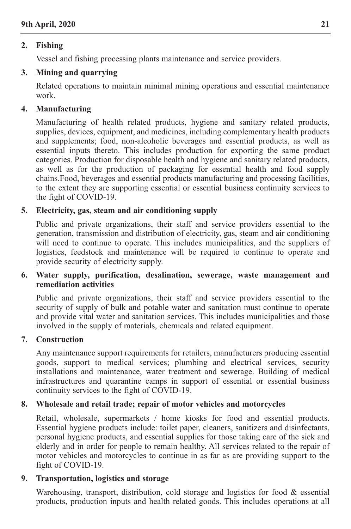# **2. Fishing**

vessel and fishing processing plants maintenance and service providers.

# **3. Mining and quarrying**

Related operations to maintain minimal mining operations and essential maintenance work.

# **4. Manufacturing**

manufacturing of health related products, hygiene and sanitary related products, supplies, devices, equipment, and medicines, including complementary health products and supplements; food, non-alcoholic beverages and essential products, as well as essential inputs thereto. This includes production for exporting the same product categories. Production for disposable health and hygiene and sanitary related products, as well as for the production of packaging for essential health and food supply chains.Food, beverages and essential products manufacturing and processing facilities, to the extent they are supporting essential or essential business continuity services to the fight of coviD-19.

# **5. Electricity, gas, steam and air conditioning supply**

Public and private organizations, their staff and service providers essential to the generation, transmission and distribution of electricity, gas, steam and air conditioning will need to continue to operate. This includes municipalities, and the suppliers of logistics, feedstock and maintenance will be required to continue to operate and provide security of electricity supply.

# **6. Water supply, purification, desalination, sewerage, waste management and remediation activities**

Public and private organizations, their staff and service providers essential to the security of supply of bulk and potable water and sanitation must continue to operate and provide vital water and sanitation services. this includes municipalities and those involved in the supply of materials, chemicals and related equipment.

# **7. Construction**

Any maintenance support requirements for retailers, manufacturers producing essential goods, support to medical services; plumbing and electrical services, security installations and maintenance, water treatment and sewerage. Building of medical infrastructures and quarantine camps in support of essential or essential business continuity services to the fight of coviD-19.

# **8. Wholesale and retail trade; repair of motor vehicles and motorcycles**

Retail, wholesale, supermarkets / home kiosks for food and essential products. Essential hygiene products include: toilet paper, cleaners, sanitizers and disinfectants, personal hygiene products, and essential supplies for those taking care of the sick and elderly and in order for people to remain healthy. All services related to the repair of motor vehicles and motorcycles to continue in as far as are providing support to the fight of coviD-19.

# **9. Transportation, logistics and storage**

Warehousing, transport, distribution, cold storage and logistics for food & essential products, production inputs and health related goods. this includes operations at all